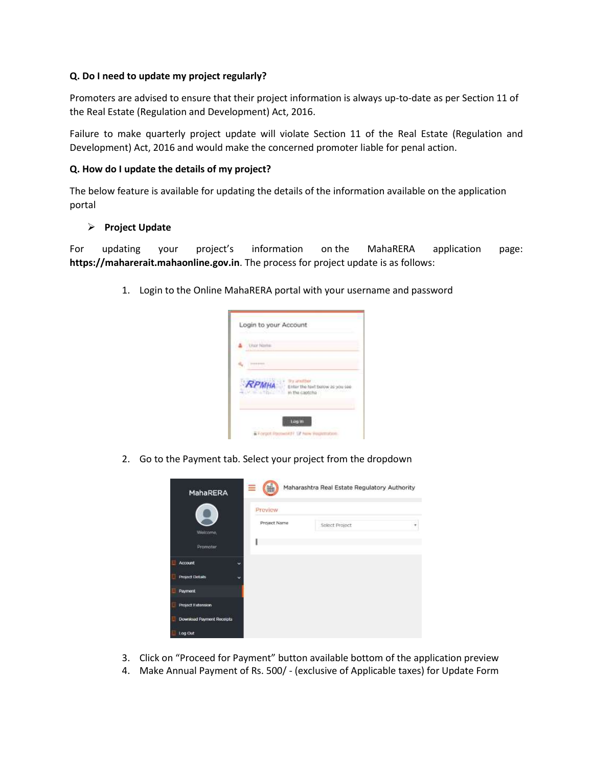# **Q. Do I need to update my project regularly?**

Promoters are advised to ensure that their project information is always up-to-date as per Section 11 of the Real Estate (Regulation and Development) Act, 2016.

Failure to make quarterly project update will violate Section 11 of the Real Estate (Regulation and Development) Act, 2016 and would make the concerned promoter liable for penal action.

#### **Q. How do I update the details of my project?**

The below feature is available for updating the details of the information available on the application portal

# **Project Update**

For updating your project's information on the MahaRERA application page: **https://maharerait.mahaonline.gov.in**. The process for project update is as follows:

1. Login to the Online MahaRERA portal with your username and password



2. Go to the Payment tab. Select your project from the dropdown



- 3. Click on "Proceed for Payment" button available bottom of the application preview
- 4. Make Annual Payment of Rs. 500/ (exclusive of Applicable taxes) for Update Form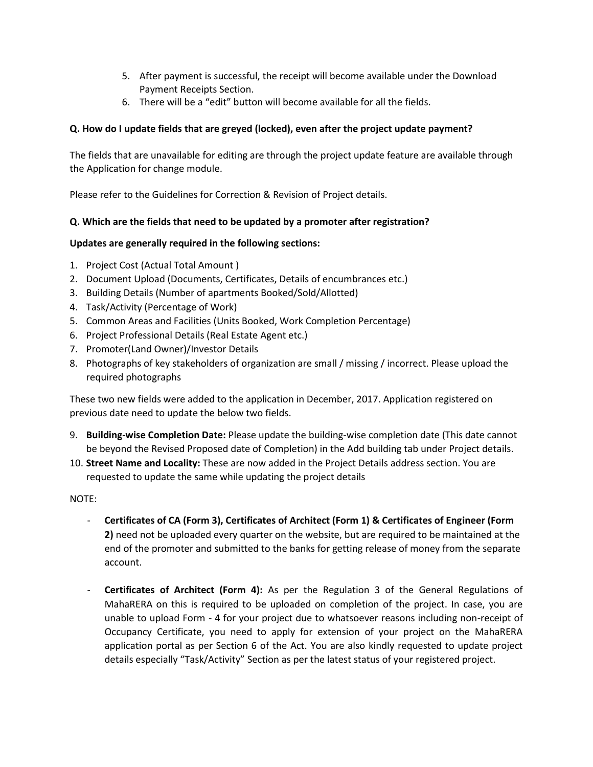- 5. After payment is successful, the receipt will become available under the Download Payment Receipts Section.
- 6. There will be a "edit" button will become available for all the fields.

# **Q. How do I update fields that are greyed (locked), even after the project update payment?**

The fields that are unavailable for editing are through the project update feature are available through the Application for change module.

Please refer to the Guidelines for Correction & Revision of Project details.

# **Q. Which are the fields that need to be updated by a promoter after registration?**

#### **Updates are generally required in the following sections:**

- 1. Project Cost (Actual Total Amount )
- 2. Document Upload (Documents, Certificates, Details of encumbrances etc.)
- 3. Building Details (Number of apartments Booked/Sold/Allotted)
- 4. Task/Activity (Percentage of Work)
- 5. Common Areas and Facilities (Units Booked, Work Completion Percentage)
- 6. Project Professional Details (Real Estate Agent etc.)
- 7. Promoter(Land Owner)/Investor Details
- 8. Photographs of key stakeholders of organization are small / missing / incorrect. Please upload the required photographs

These two new fields were added to the application in December, 2017. Application registered on previous date need to update the below two fields.

- 9. **Building-wise Completion Date:** Please update the building-wise completion date (This date cannot be beyond the Revised Proposed date of Completion) in the Add building tab under Project details.
- 10. **Street Name and Locality:** These are now added in the Project Details address section. You are requested to update the same while updating the project details

NOTE:

- **Certificates of CA (Form 3), Certificates of Architect (Form 1) & Certificates of Engineer (Form 2)** need not be uploaded every quarter on the website, but are required to be maintained at the end of the promoter and submitted to the banks for getting release of money from the separate account.
- **Certificates of Architect (Form 4):** As per the Regulation 3 of the General Regulations of MahaRERA on this is required to be uploaded on completion of the project. In case, you are unable to upload Form - 4 for your project due to whatsoever reasons including non-receipt of Occupancy Certificate, you need to apply for extension of your project on the MahaRERA application portal as per Section 6 of the Act. You are also kindly requested to update project details especially "Task/Activity" Section as per the latest status of your registered project.